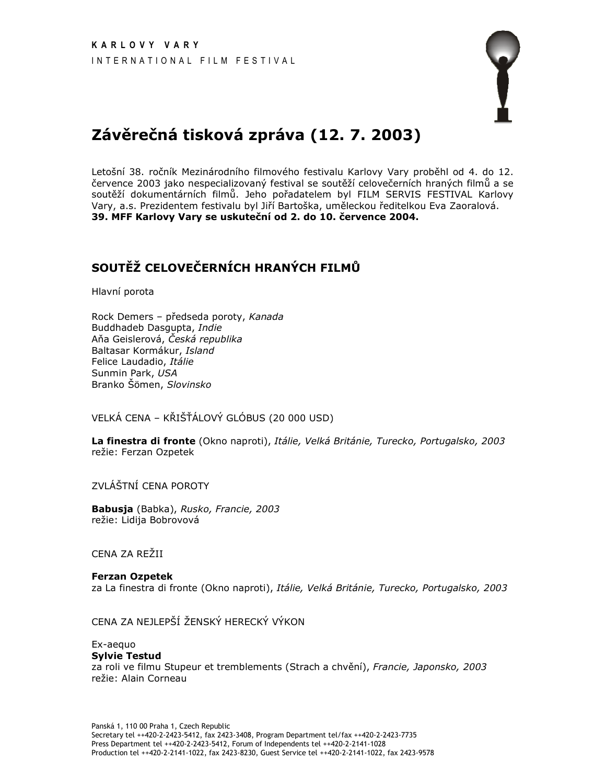

# Závěrečná tisková zpráva (12. 7. 2003)

Letošní 38. ročník Mezinárodního filmového festivalu Karlovy Vary proběhl od 4. do 12. července 2003 jako nespecializovaný festival se soutěží celovečerních hraných filmů a se soutěží dokumentárních filmů. Jeho pořadatelem byl FILM SERVIS FESTIVAL Karlovy Vary, a.s. Prezidentem festivalu byl Jiří Bartoška, uměleckou ředitelkou Eva Zaoralová. 39. MFF Karlovy Vary se uskuteční od 2. do 10. července 2004.

## SOUTĚŽ CELOVEČERNÍCH HRANÝCH FILMŮ

Hlavní porota

Rock Demers - předseda poroty, Kanada Buddhadeb Dasqupta, Indie Aňa Geislerová, Česká republika Baltasar Kormákur, Island Felice Laudadio, Itálie Sunmin Park, USA Branko Šömen, Slovinsko

VELKÁ CENA – KŘIŠŤÁLOVÝ GLÓBUS (20 000 USD)

La finestra di fronte (Okno naproti), Itálie, Velká Británie, Turecko, Portugalsko, 2003 režie: Ferzan Ozpetek

ZVLÁŠTNÍ CENA POROTY

Babusja (Babka), Rusko, Francie, 2003 režie: Lidija Bobrovová

CENA ZA REŽII

#### **Ferzan Ozpetek** za La finestra di fronte (Okno naproti), Itálie, Velká Británie, Turecko, Portugalsko, 2003

CENA ZA NEJLEPŠÍ ŽENSKÝ HERECKÝ VÝKON

### Ex-aequo

**Sylvie Testud** za roli ve filmu Stupeur et tremblements (Strach a chvění), Francie, Japonsko, 2003 režie: Alain Corneau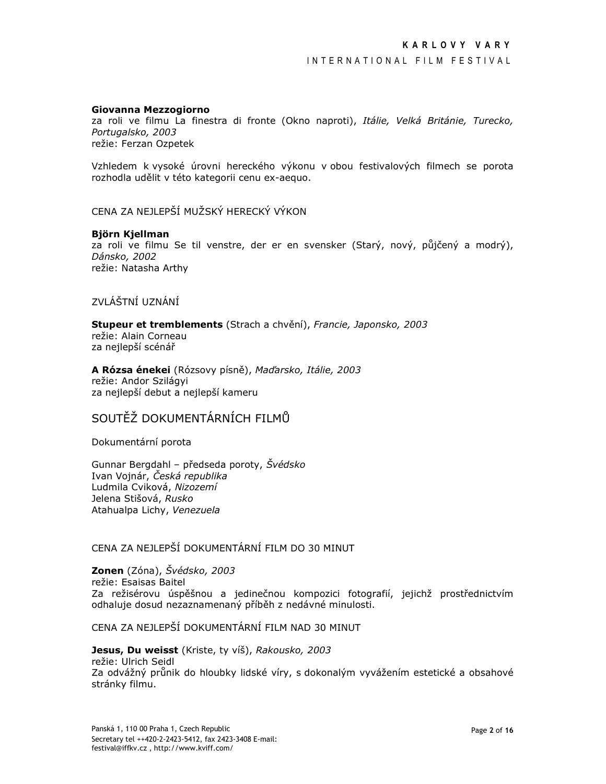#### Giovanna Mezzogiorno

za roli ve filmu La finestra di fronte (Okno naproti), Itálie, Velká Británie, Turecko, Portugalsko, 2003 režie: Ferzan Ozpetek

Vzhledem k vysoké úrovni hereckého výkonu v obou festivalových filmech se porota rozhodla udělit v této kategorii cenu ex-aequo.

CENA ZA NEJLEPŠÍ MUŽSKÝ HERECKÝ VÝKON

### Björn Kjellman

za roli ve filmu Se til venstre, der er en svensker (Starý, nový, půjčený a modrý), Dánsko, 2002 režie: Natasha Arthy

## ZVI ÁŠTNÍ UZNÁNÍ

Stupeur et tremblements (Strach a chvění), Francie, Japonsko, 2003 režie: Alain Corneau za nejlepší scénář

A Rózsa énekei (Rózsovy písně), Maďarsko, Itálie, 2003 režie: Andor Szilágyi za nejlepší debut a nejlepší kameru

## SOUTĚŽ DOKUMENTÁRNÍCH FILMŮ

Dokumentární porota

Gunnar Bergdahl - předseda poroty, Švédsko Ivan Vojnár, Česká republika Ludmila Cviková, Nizozemí Jelena Stišová, Rusko Atahualpa Lichy, Venezuela

## CENA ZA NEJLEPŠÍ DOKUMENTÁRNÍ FILM DO 30 MINUT

Zonen (Zóna), Švédsko, 2003 režie: Esaisas Baitel Za režisérovu úspěšnou a jedinečnou kompozici fotografií, jejichž prostřednictvím odhaluje dosud nezaznamenaný příběh z nedávné minulosti.

CENA ZA NEJLEPŠÍ DOKUMENTÁRNÍ FILM NAD 30 MINUT

Jesus, Du weisst (Kriste, ty víš), Rakousko, 2003 režie: Ulrich Seidl Za odvážný průnik do hloubky lidské víry, s dokonalým vyvážením estetické a obsahové stránky filmu.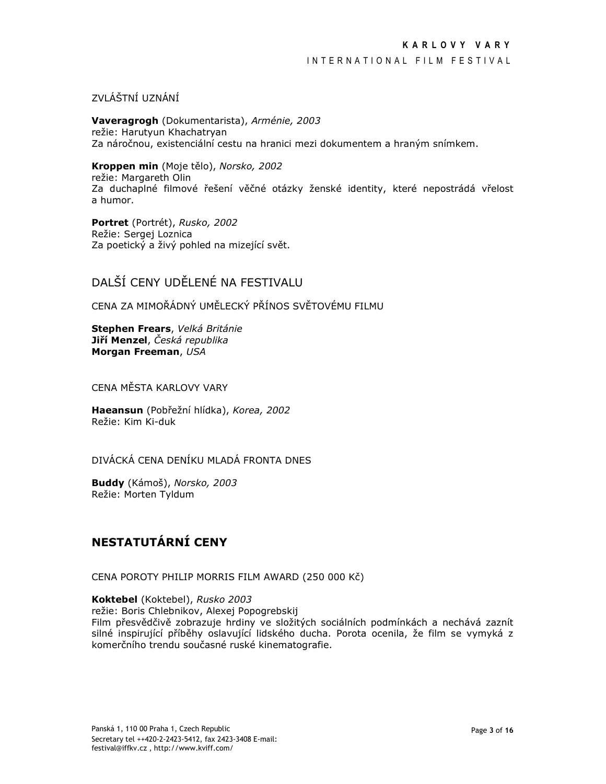### INTERNATIONAL FILM FESTIVAL

ZVI ÁŠTNÍ UZNÁNÍ

Vaveragrogh (Dokumentarista), Arménie, 2003 režie: Harutyun Khachatryan Za náročnou, existenciální cestu na hranici mezi dokumentem a hraným snímkem.

Kroppen min (Moje tělo), Norsko, 2002 režie: Margareth Olin Za duchaplné filmové řešení věčné otázky ženské identity, které nepostrádá vřelost a humor.

Portret (Portrét), Rusko, 2002 Režie: Sergej Loznica Za poetický a živý pohled na mizející svět.

## DALŠÍ CENY UDĚLENÉ NA FESTIVALU

CENA ZA MIMOŘÁDNÝ UMĚLECKÝ PŘÍNOS SVĚTOVÉMU FILMU

Stephen Frears, Velká Británie Jiří Menzel, Česká republika Morgan Freeman, USA

CENA MĚSTA KARLOVY VARY

Haeansun (Pobřežní hlídka), Korea, 2002 Režie: Kim Ki-duk

DIVÁCKÁ CENA DENÍKU MLADÁ FRONTA DNES

Buddy (Kámoš), Norsko, 2003 Režie: Morten Tyldum

## NESTATUTÁRNÍ CENY

CENA POROTY PHILIP MORRIS FILM AWARD (250 000 Kč)

Koktebel (Koktebel), Rusko 2003 režie: Boris Chlebnikov, Alexej Popogrebskij Film přesvědčivě zobrazuje hrdiny ve složitých sociálních podmínkách a nechává zaznít silné inspirující příběhy oslavující lidského ducha. Porota ocenila, že film se vymyká z komerčního trendu současné ruské kinematografie.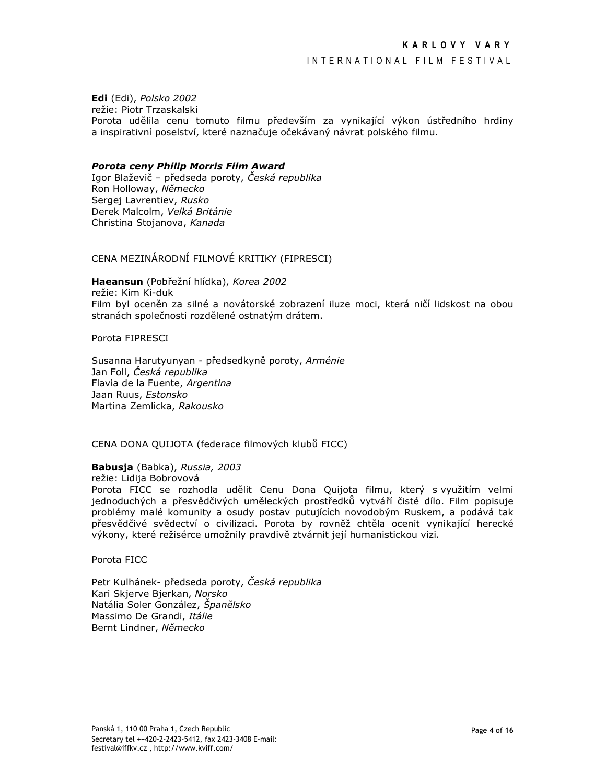### INTERNATIONAL FILM FESTIVAL

Edi (Edi), Polsko 2002 režie: Piotr Trzaskalski Porota udělila cenu tomuto filmu především za vynikající výkon ústředního hrdiny a inspirativní poselství, které naznačuje očekávaný návrat polského filmu.

### Porota ceny Philip Morris Film Award

Igor Blaževič – předseda poroty, Česká republika Ron Holloway, Německo Sergej Lavrentiev, Rusko Derek Malcolm, Velká Británie Christina Stojanova, Kanada

CENA MEZINÁRODNÍ FILMOVÉ KRITIKY (FIPRESCI)

Haeansun (Pobřežní hlídka), Korea 2002 režie: Kim Ki-duk Film byl oceněn za silné a novátorské zobrazení iluze moci, která ničí lidskost na obou stranách společnosti rozdělené ostnatým drátem.

Porota FIPRESCI

Susanna Harutyunyan - předsedkyně poroty, Arménie Jan Foll, Česká republika Flavia de la Fuente, Argentina Jaan Ruus, Estonsko Martina Zemlicka, Rakousko

CENA DONA QUIJOTA (federace filmových klubů FICC)

Babusja (Babka), Russia, 2003

režie: Lidija Bobrovová

Porota FICC se rozhodla udělit Cenu Dona Quijota filmu, který s využitím velmi jednoduchých a přesvědčivých uměleckých prostředků vytváří čisté dílo. Film popisuje problémy malé komunity a osudy postav putujících novodobým Ruskem, a podává tak přesvědčivé svědectví o civilizaci. Porota by rovněž chtěla ocenit vynikající herecké výkony, které režisérce umožnily pravdivě ztvárnit její humanistickou vizi.

Porota FICC

Petr Kulhánek- předseda poroty, Česká republika Kari Skjerve Bjerkan, Norsko Natália Soler González, Španělsko Massimo De Grandi, Itálie Bernt Lindner, Německo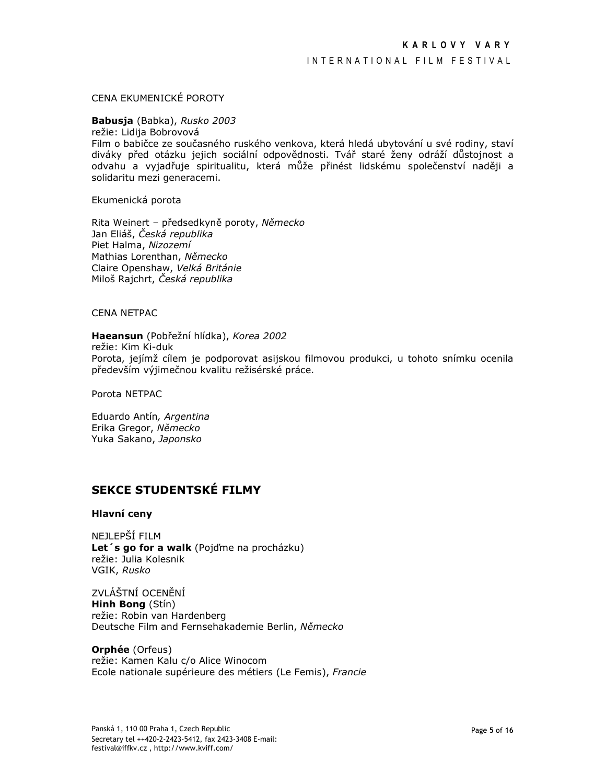### CENA EKUMENICKÉ POROTY

### Babusja (Babka), Rusko 2003

režie: Lidija Bobrovová

Film o babičce ze současného ruského venkova, která hledá ubytování u své rodiny, staví diváky před otázku jejich sociální odpovědnosti. Tvář staré ženy odráží důstojnost a odvahu a vyjadřuje spiritualitu, která může přinést lidskému společenství naději a solidaritu mezi generacemi.

Ekumenická porota

Rita Weinert - předsedkyně poroty, Německo Jan Eliáš, Česká republika Piet Halma, Nizozemí Mathias Lorenthan, Německo Claire Openshaw, Velká Británie Miloš Raichrt, Česká republika

**CENA NETPAC** 

Haeansun (Pobřežní hlídka), Korea 2002 režie: Kim Ki-duk Porota, jejímž cílem je podporovat asijskou filmovou produkci, u tohoto snímku ocenila především výjimečnou kvalitu režisérské práce.

Porota NETPAC

Eduardo Antín, Argentina Erika Gregor, Německo Yuka Sakano, Japonsko

## SEKCE STUDENTSKÉ FILMY

### **Hlavní ceny**

NEJI FPŠÍ FII M Let's go for a walk (Pojd'me na procházku) režie: Julia Kolesnik VGIK, Rusko

ZVLÁŠTNÍ OCENĚNÍ Hinh Bong (Stín) režie: Robin van Hardenberg Deutsche Film and Fernsehakademie Berlin, Německo

**Orphée** (Orfeus) režie: Kamen Kalu c/o Alice Winocom Ecole nationale supérieure des métiers (Le Femis), Francie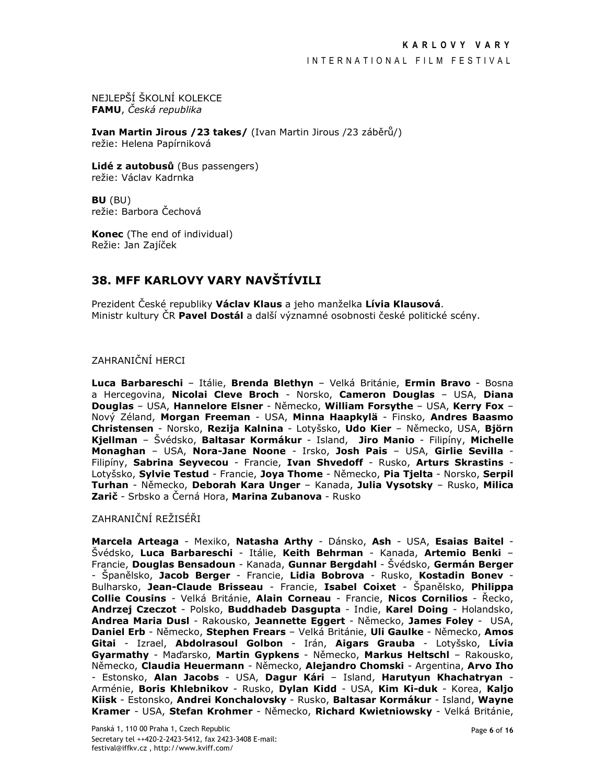NEJLEPŠÍ ŠKOLNÍ KOLEKCE FAMU, Česká republika

Ivan Martin Jirous / 23 takes/ (Ivan Martin Jirous / 23 záběrů/) režie: Helena Papírniková

Lidé z autobusů (Bus passengers) režie: Václav Kadrnka

BU (BU) režie: Barbora Čechová

Konec (The end of individual) Režie: Jan Zajíček

## 38. MFF KARLOVY VARY NAVŠTÍVILI

Prezident České republiky Václav Klaus a jeho manželka Lívia Klausová. Ministr kultury ČR Pavel Dostál a další významné osobnosti české politické scény.

## **ZAHRANIČNÍ HERCI**

Luca Barbareschi - Itálie, Brenda Blethyn - Velká Británie, Ermin Bravo - Bosna a Hercegovina, Nicolai Cleve Broch - Norsko, Cameron Douglas - USA, Diana Douglas - USA, Hannelore Elsner - Německo, William Forsythe - USA, Kerry Fox -Nový Zéland, Morgan Freeman - USA, Minna Haapkylä - Finsko, Andres Baasmo Christensen - Norsko, Rezija Kalnina - Lotyšsko, Udo Kier - Německo, USA, Björn Kjellman - Švédsko, Baltasar Kormákur - Island, Jiro Manio - Filipíny, Michelle Monaghan - USA, Nora-Jane Noone - Irsko, Josh Pais - USA, Girlie Sevilla -Filipíny, Sabrina Seyvecou - Francie, Ivan Shvedoff - Rusko, Arturs Skrastins -Lotyšsko, Sylvie Testud - Francie, Joya Thome - Německo, Pia Tjelta - Norsko, Serpil Turhan - Německo, Deborah Kara Unger - Kanada, Julia Vysotsky - Rusko, Milica Zarič - Srbsko a Černá Hora, Marina Zubanova - Rusko

ZAHRANIČNÍ REŽISÉŘI

Marcela Arteaga - Mexiko, Natasha Arthy - Dánsko, Ash - USA, Esaias Baitel -Švédsko, Luca Barbareschi - Itálie, Keith Behrman - Kanada, Artemio Benki -Francie, Douglas Bensadoun - Kanada, Gunnar Bergdahl - Švédsko, Germán Berger - Španělsko, Jacob Berger - Francie, Lidia Bobrova - Rusko, Kostadin Bonev -Bulharsko, Jean-Claude Brisseau - Francie, Isabel Coixet - Španělsko, Philippa Collie Cousins - Velká Británie, Alain Corneau - Francie, Nicos Cornilios - Řecko, Andrzej Czeczot - Polsko, Buddhadeb Dasgupta - Indie, Karel Doing - Holandsko, Andrea Maria Dusl - Rakousko, Jeannette Eggert - Německo, James Foley - USA, Daniel Erb - Německo, Stephen Frears - Velká Británie, Uli Gaulke - Německo, Amos Gitai - Izrael, Abdolrasoul Golbon - Irán, Aigars Grauba - Lotyšsko, Lívia Gyarmathy - Maďarsko, Martin Gypkens - Německo, Markus Heltschl - Rakousko, Německo, Claudia Heuermann - Německo, Alejandro Chomski - Argentina, Arvo Iho - Estonsko, Alan Jacobs - USA, Dagur Kári - Island, Harutyun Khachatryan -Arménie, Boris Khlebnikov - Rusko, Dylan Kidd - USA, Kim Ki-duk - Korea, Kaljo Kiisk - Estonsko, Andrei Konchalovsky - Rusko, Baltasar Kormákur - Island, Wayne Kramer - USA, Stefan Krohmer - Německo, Richard Kwietniowsky - Velká Británie,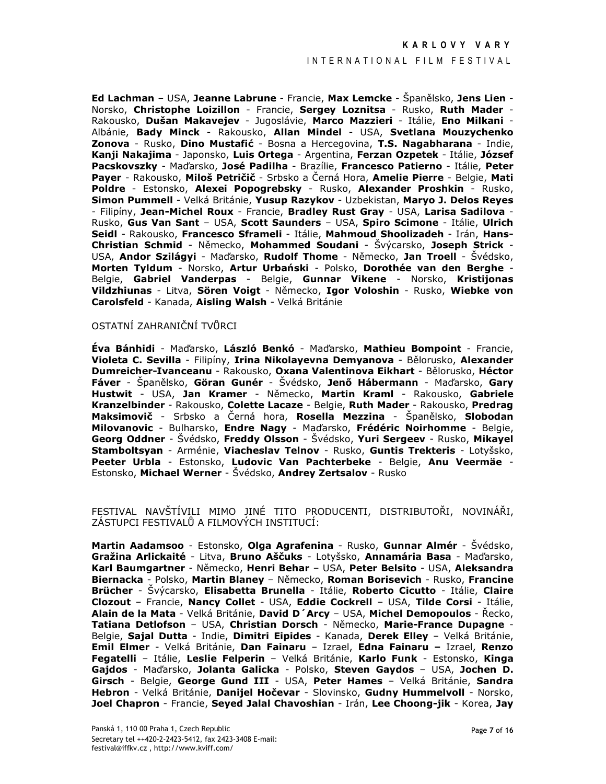### INTERNATIONAL FILM FESTIVAL

Ed Lachman - USA, Jeanne Labrune - Francie, Max Lemcke - Španělsko, Jens Lien -Norsko, Christophe Loizillon - Francie, Sergey Loznitsa - Rusko, Ruth Mader -Rakousko, Dušan Makavejev - Jugoslávie, Marco Mazzieri - Itálie, Eno Milkani -Albánie, Bady Minck - Rakousko, Allan Mindel - USA, Svetlana Mouzychenko Zonova - Rusko, Dino Mustafić - Bosna a Hercegovina, T.S. Nagabharana - Indie, Kanji Nakajima - Japonsko, Luis Ortega - Argentina, Ferzan Ozpetek - Itálie, József Pacskovszky - Maďarsko, José Padilha - Brazílie, Francesco Patierno - Itálie, Peter Payer - Rakousko, Miloš Petričič - Srbsko a Černá Hora, Amelie Pierre - Belgie, Mati Poldre - Estonsko, Alexei Popogrebsky - Rusko, Alexander Proshkin - Rusko, Simon Pummell - Velká Británie, Yusup Razykov - Uzbekistan, Maryo J. Delos Reyes - Filipíny, Jean-Michel Roux - Francie, Bradley Rust Gray - USA, Larisa Sadilova -Rusko, Gus Van Sant - USA, Scott Saunders - USA, Spiro Scimone - Itálie, Ulrich Seidl - Rakousko, Francesco Sframeli - Itálie, Mahmoud Shoolizadeh - Irán, Hans-Christian Schmid - Německo, Mohammed Soudani - Švýcarsko, Joseph Strick -USA, Andor Szilágyi - Maďarsko, Rudolf Thome - Německo, Jan Troell - Švédsko, Morten Tyldum - Norsko, Artur Urbański - Polsko, Dorothée van den Berghe -Belgie, Gabriel Vanderpas - Belgie, Gunnar Vikene - Norsko, Kristijonas Vildzhiunas - Litva, Sören Voigt - Německo, Igor Voloshin - Rusko, Wiebke von Carolsfeld - Kanada, Aisling Walsh - Velká Británie

### OSTATNÍ ZAHRANIČNÍ TVŮRCI

Éva Bánhidi - Maďarsko, László Benkó - Maďarsko, Mathieu Bompoint - Francie, Violeta C. Sevilla - Filipíny, Irina Nikolayevna Demyanova - Bělorusko, Alexander Dumreicher-Ivanceanu - Rakousko, Oxana Valentinova Eikhart - Bělorusko, Héctor Fáver - Španělsko, Göran Gunér - Švédsko, Jenő Hábermann - Maďarsko, Gary Hustwit - USA, Jan Kramer - Německo, Martin Kraml - Rakousko, Gabriele Kranzelbinder - Rakousko, Colette Lacaze - Belgie, Ruth Mader - Rakousko, Predrag Maksimovič - Srbsko a Černá hora, Rosella Mezzina - Španělsko, Slobodan Milovanovic - Bulharsko, Endre Nagy - Maďarsko, Frédéric Noirhomme - Belgie, Georg Oddner - Švédsko, Freddy Olsson - Švédsko, Yuri Sergeev - Rusko, Mikayel Stamboltsyan - Arménie, Viacheslav Telnov - Rusko, Guntis Trekteris - Lotyšsko, Peeter Urbla - Estonsko, Ludovic Van Pachterbeke - Belgie, Anu Veermäe -Estonsko, Michael Werner - Švédsko, Andrey Zertsalov - Rusko

FESTIVAL NAVŠTÍVILI MIMO JINÉ TITO PRODUCENTI, DISTRIBUTOŘI, NOVINÁŘI, ZÁSTUPCI FESTIVALŮ A FILMOVÝCH INSTITUCÍ:

Martin Aadamsoo - Estonsko, Olga Agrafenina - Rusko, Gunnar Almér - Švédsko, Gražina Arlickaité - Litva, Bruno Aščuks - Lotyšsko, Annamária Basa - Maďarsko, Karl Baumgartner - Německo, Henri Behar - USA, Peter Belsito - USA, Aleksandra Biernacka - Polsko, Martin Blaney - Německo, Roman Borisevich - Rusko, Francine Brücher - Švýcarsko, Elisabetta Brunella - Itálie, Roberto Cicutto - Itálie, Claire Clozout - Francie, Nancy Collet - USA, Eddie Cockrell - USA, Tilde Corsi - Itálie, Alain de la Mata - Velká Británie, David D'Arcy - USA, Michel Demopoulos - Řecko, Tatiana Detlofson - USA, Christian Dorsch - Německo, Marie-France Dupagne -Belgie, Sajal Dutta - Indie, Dimitri Eipides - Kanada, Derek Elley - Velká Británie, Emil Elmer - Velká Británie, Dan Fainaru - Izrael, Edna Fainaru - Izrael, Renzo Fegatelli - Itálie, Leslie Felperin - Velká Británie, Karlo Funk - Estonsko, Kinga Gajdos - Maďarsko, Jolanta Galicka - Polsko, Steven Gaydos - USA, Jochen D. Girsch - Belgie, George Gund III - USA, Peter Hames - Velká Británie, Sandra Hebron - Velká Británie, Danijel Hočevar - Slovinsko, Gudny Hummelvoll - Norsko, Joel Chapron - Francie, Seyed Jalal Chavoshian - Irán, Lee Choong-jik - Korea, Jay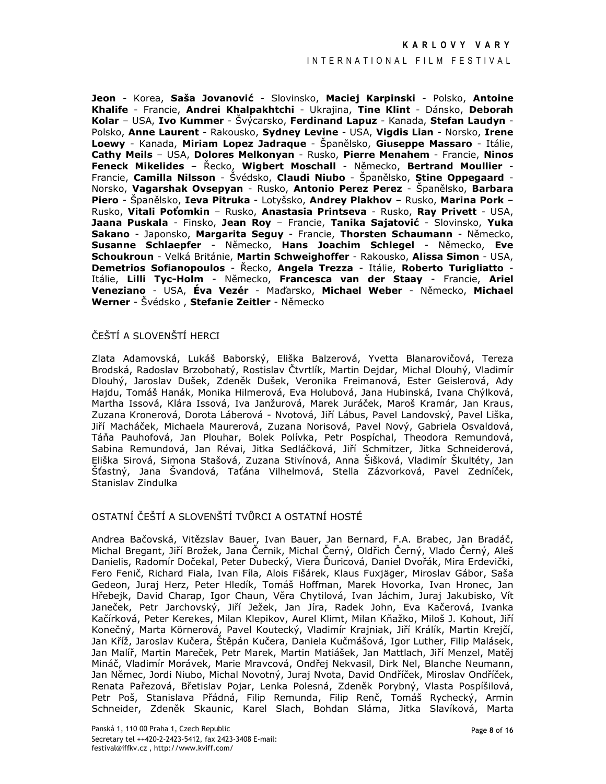### INTERNATIONAL FILM FESTIVAL

Jeon - Korea, Saša Jovanović - Slovinsko, Maciej Karpinski - Polsko, Antoine Khalife - Francie, Andrei Khalpakhtchi - Ukrajina, Tine Klint - Dánsko, Deborah Kolar - USA, Ivo Kummer - Švýcarsko, Ferdinand Lapuz - Kanada, Stefan Laudyn -Polsko, Anne Laurent - Rakousko, Sydney Levine - USA, Vigdis Lian - Norsko, Irene Loewy - Kanada, Miriam Lopez Jadrague - Španělsko, Giuseppe Massaro - Itálie, Cathy Meils - USA, Dolores Melkonyan - Rusko, Pierre Menahem - Francie, Ninos Feneck Mikelides - Řecko, Wigbert Moschall - Německo, Bertrand Moullier -Francie, Camilla Nilsson - Švédsko, Claudi Niubo - Španělsko, Stine Oppegaard -Norsko, Vagarshak Ovsepyan - Rusko, Antonio Perez Perez - Španělsko, Barbara Piero - Španělsko, Ieva Pitruka - Lotyšsko, Andrey Plakhov - Rusko, Marina Pork -Rusko, Vitali Poťomkin - Rusko, Anastasia Printseva - Rusko, Ray Privett - USA, Jaana Puskala - Finsko, Jean Roy - Francie, Tanika Sajatović - Slovinsko, Yuka Sakano - Japonsko, Margarita Seguy - Francie, Thorsten Schaumann - Německo, Susanne Schlaepfer - Německo, Hans Joachim Schlegel - Německo, Eve Schoukroun - Velká Británie, Martin Schweighoffer - Rakousko, Alissa Simon - USA, Demetrios Sofianopoulos - Řecko, Angela Trezza - Itálie, Roberto Turigliatto -Itálie, Lilli Tvc-Holm - Německo, Francesca van der Staav - Francie, Ariel Veneziano - USA, Éva Vezér - Maďarsko, Michael Weber - Německo, Michael Werner - Švédsko, Stefanie Zeitler - Německo

### ČEŠTÍ A SLOVENŠTÍ HERCI

Zlata Adamovská, Lukáš Baborský, Eliška Balzerová, Yvetta Blanarovičová, Tereza Brodská, Radoslav Brzobohatý, Rostislav Čtvrtlík, Martin Dejdar, Michal Dlouhý, Vladimír Dlouhý, Jaroslav Dušek, Zdeněk Dušek, Veronika Freimanová, Ester Geislerová, Ady Hajdu, Tomáš Hanák, Monika Hilmerová, Eva Holubová, Jana Hubinská, Ivana Chýlková, Martha Issová, Klára Issová, Iva Janžurová, Marek Juráček, Maroš Kramár, Jan Kraus, Zuzana Kronerová, Dorota Láberová - Nvotová, Jiří Lábus, Pavel Landovský, Pavel Liška, Jiří Macháček, Michaela Maurerová, Zuzana Norisová, Pavel Nový, Gabriela Osvaldová, Táňa Pauhofová, Jan Plouhar, Bolek Polívka, Petr Pospíchal, Theodora Remundová, Sabina Remundová, Jan Révai, Jitka Sedláčková, Jiří Schmitzer, Jitka Schneiderová, Eliška Sirová, Simona Stašová, Zuzana Stivínová, Anna Šišková, Vladimír Škultéty, Jan Šťastný, Jana Švandová, Taťána Vilhelmová, Stella Zázvorková, Pavel Zedníček, Stanislav Zindulka

### OSTATNÍ ČEŠTÍ A SLOVENŠTÍ TVŮRCI A OSTATNÍ HOSTÉ

Andrea Bačovská, Vitězslav Bauer, Ivan Bauer, Jan Bernard, F.A. Brabec, Jan Bradáč, Michal Bregant, Jiří Brožek, Jana Černik, Michal Černý, Oldřich Černý, Vlado Černý, Aleš Danielis, Radomír Dočekal, Peter Dubecký, Viera Ďuricová, Daniel Dvořák, Mira Erdevički, Fero Fenič, Richard Fiala, Ivan Fíla, Alois Fišárek, Klaus Fuxjäger, Miroslav Gábor, Saša Gedeon, Juraj Herz, Peter Hledík, Tomáš Hoffman, Marek Hovorka, Ivan Hronec, Jan Hřebejk, David Charap, Igor Chaun, Věra Chytilová, Ivan Jáchim, Juraj Jakubisko, Vít Janeček, Petr Jarchovský, Jiří Ježek, Jan Jíra, Radek John, Eva Kačerová, Ivanka Kačírková, Peter Kerekes, Milan Klepikov, Aurel Klimt, Milan Kňažko, Miloš J. Kohout, Jiří Konečný, Marta Körnerová, Pavel Koutecký, Vladimír Krajniak, Jiří Králík, Martin Krejčí, Jan Kříž, Jaroslav Kučera, Štěpán Kučera, Daniela Kučmášová, Igor Luther, Filip Malásek, Jan Malíř, Martin Mareček, Petr Marek, Martin Matiášek, Jan Mattlach, Jiří Menzel, Matěj Mináč, Vladimír Morávek, Marie Mravcová, Ondřej Nekvasil, Dirk Nel, Blanche Neumann, Jan Němec, Jordi Niubo, Michal Novotný, Juraj Nvota, David Ondříček, Miroslav Ondříček, Renata Pařezová, Břetislav Pojar, Lenka Polesná, Zdeněk Porybný, Vlasta Pospíšilová, Petr Poš, Stanislava Přádná, Filip Remunda, Filip Renč, Tomáš Rychecký, Armin Schneider, Zdeněk Skaunic, Karel Slach, Bohdan Sláma, Jitka Slavíková, Marta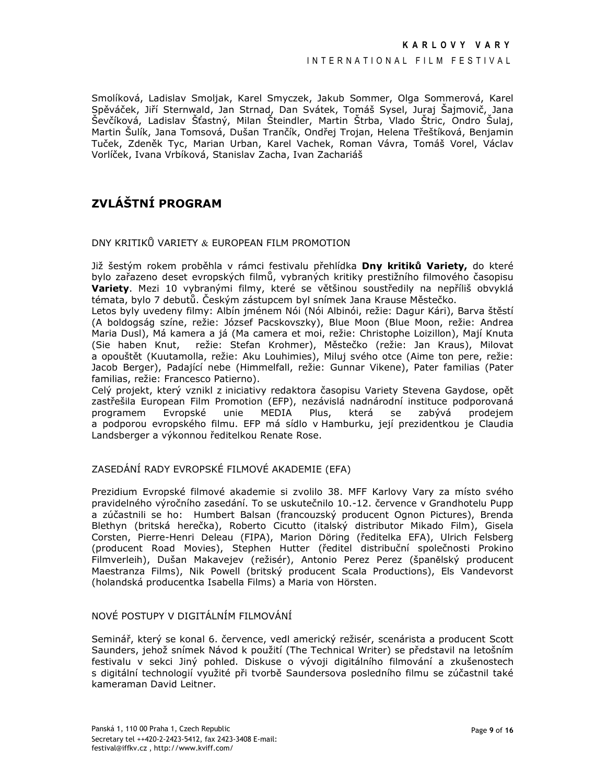Smolíková, Ladislav Smoljak, Karel Smyczek, Jakub Sommer, Olga Sommerová, Karel Spěváček, Jiří Sternwald, Jan Strnad, Dan Svátek, Tomáš Sysel, Juraj Šajmovič, Jana Ševčíková, Ladislav Šťastný, Milan Šteindler, Martin Štrba, Vlado Štric, Ondro Šulaj, Martin Šulík, Jana Tomsová, Dušan Trančík, Ondřej Trojan, Helena Třeštíková, Benjamin Tuček, Zdeněk Tyc, Marian Urban, Karel Vachek, Roman Vávra, Tomáš Vorel, Václav Vorlíček, Ivana Vrbíková, Stanislav Zacha, Ivan Zachariáš

## ZVLÁŠTNÍ PROGRAM

DNY KRITIKŮ VARIETY & EUROPEAN FILM PROMOTION

Již šestým rokem proběhla v rámci festivalu přehlídka Dny kritiků Variety, do které bylo zařazeno deset evropských filmů, vybraných kritiky prestižního filmového časopisu Variety. Mezi 10 vybranými filmy, které se většinou soustředily na nepříliš obvyklá témata, bylo 7 debutů. Českým zástupcem byl snímek Jana Krause Městečko.

Letos byly uvedeny filmy: Albín jménem Nói (Nói Albinói, režie: Dagur Kári), Barva štěstí (A boldogság színe, režie: József Pacskovszky), Blue Moon (Blue Moon, režie: Andrea Maria Dusl), Má kamera a já (Ma camera et moi, režie: Christophe Loizillon), Mají Knuta (Sie haben Knut, režie: Stefan Krohmer), Městečko (režie: Jan Kraus), Milovat a opouštět (Kuutamolla, režie: Aku Louhimies), Miluj svého otce (Aime ton pere, režie: Jacob Berger), Padající nebe (Himmelfall, režie: Gunnar Vikene), Pater familias (Pater familias, režie: Francesco Patierno).

Celý projekt, který vznikl z iniciativy redaktora časopisu Variety Stevena Gaydose, opět zastřešila European Film Promotion (EFP), nezávislá nadnárodní instituce podporovaná programem Evropské unie MEDIA Plus, která se zabývá prodejem a podporou evropského filmu. EFP má sídlo v Hamburku, její prezidentkou je Claudia Landsberger a výkonnou ředitelkou Renate Rose.

## ZASEDÁNÍ RADY EVROPSKÉ FILMOVÉ AKADEMIE (EFA)

Prezidium Evropské filmové akademie si zvolilo 38. MFF Karlovy Vary za místo svého pravidelného výročního zasedání. To se uskutečnilo 10.-12. července v Grandhotelu Pupp a zúčastnili se ho: Humbert Balsan (francouzský producent Ognon Pictures), Brenda Blethyn (britská herečka), Roberto Cicutto (italský distributor Mikado Film), Gisela Corsten, Pierre-Henri Deleau (FIPA), Marion Döring (ředitelka EFA), Ulrich Felsberg (producent Road Movies), Stephen Hutter (ředitel distribuční společnosti Prokino Filmverleih), Dušan Makavejev (režisér), Antonio Perez Perez (španělský producent Maestranza Films), Nik Powell (britský producent Scala Productions), Els Vandevorst (holandská producentka Isabella Films) a Maria von Hörsten.

## NOVÉ POSTUPY V DIGITÁLNÍM FILMOVÁNÍ

Seminář, který se konal 6. července, vedl americký režisér, scenárista a producent Scott Saunders, jehož snímek Návod k použití (The Technical Writer) se představil na letošním festivalu v sekci Jiný pohled. Diskuse o vývoji digitálního filmování a zkušenostech s digitální technologií využité při tvorbě Saundersova posledního filmu se zúčastnil také kameraman David Leitner.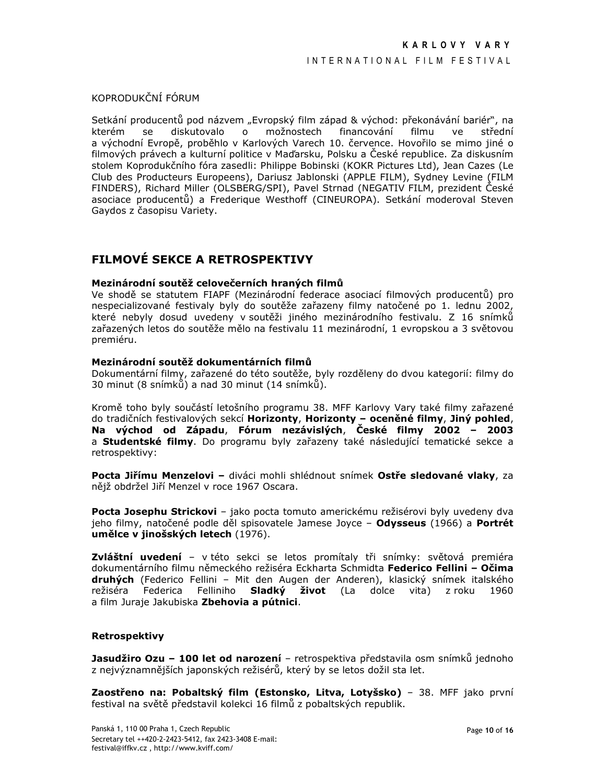KOPRODUKČNÍ FÓRUM

Setkání producentů pod názvem "Evropský film západ & východ: překonávání bariér", na  $\circ$ možnostech střední kterém se diskutovalo financování filmu ve a východní Evropě, proběhlo v Karlových Varech 10. července. Hovořilo se mimo jiné o filmových právech a kulturní politice v Maďarsku. Polsku a České republice. Za diskusním stolem Koprodukčního fóra zasedli: Philippe Bobinski (KOKR Pictures Ltd), Jean Cazes (Le Club des Producteurs Europeens), Dariusz Jablonski (APPLE FILM), Sydney Levine (FILM FINDERS), Richard Miller (OLSBERG/SPI), Pavel Strnad (NEGATIV FILM, prezident České asociace producentů) a Frederique Westhoff (CINEUROPA). Setkání moderoval Steven Gaydos z časopisu Variety.

## FILMOVÉ SEKCE A RETROSPEKTIVY

### Mezinárodní soutěž celovečerních hraných filmů

Ve shodě se statutem FIAPF (Mezinárodní federace asociací filmových producentů) pro nespecializované festivaly byly do soutěže zařazeny filmy natočené po 1. lednu 2002, které nebyly dosud uvedeny v soutěži jiného mezinárodního festivalu. Z 16 snímků zařazených letos do soutěže mělo na festivalu 11 mezinárodní, 1 evropskou a 3 světovou premiéru.

### Mezinárodní soutěž dokumentárních filmů

Dokumentární filmy, zařazené do této soutěže, byly rozděleny do dvou kategorií: filmy do 30 minut (8 snímků) a nad 30 minut (14 snímků).

Kromě toho byly součástí letošního programu 38. MFF Karlovy Vary také filmy zařazené do tradičních festivalových sekcí Horizonty, Horizonty - oceněné filmy, Jiný pohled, Na východ od Západu, Fórum nezávislých, České filmy 2002 - 2003 a Studentské filmy. Do programu byly zařazeny také následující tematické sekce a retrospektivy:

Pocta Jiřímu Menzelovi - diváci mohli shlédnout snímek Ostře sledované vlaky, za nějž obdržel Jiří Menzel v roce 1967 Oscara.

Pocta Josephu Strickovi - jako pocta tomuto americkému režisérovi byly uvedeny dva jeho filmy, natočené podle děl spisovatele Jamese Joyce - Odysseus (1966) a Portrét umělce v jinošských letech (1976).

**Zvláštní uvedení** – v této sekci se letos promítaly tři snímky: světová premiéra dokumentárního filmu německého režiséra Eckharta Schmidta Federico Fellini - Očima druhých (Federico Fellini - Mit den Augen der Anderen), klasický snímek italského režiséra Federica Felliniho Sladký život (La dolce vita) z roku 1960 a film Juraje Jakubiska Zbehovia a pútnici.

### **Retrospektivy**

Jasudžiro Ozu - 100 let od narození - retrospektiva představila osm snímků jednoho z nejvýznamnějších japonských režisérů, který by se letos dožil sta let.

Zaostřeno na: Pobaltský film (Estonsko, Litva, Lotyšsko) - 38. MFF jako první festival na světě představil kolekci 16 filmů z pobaltských republik.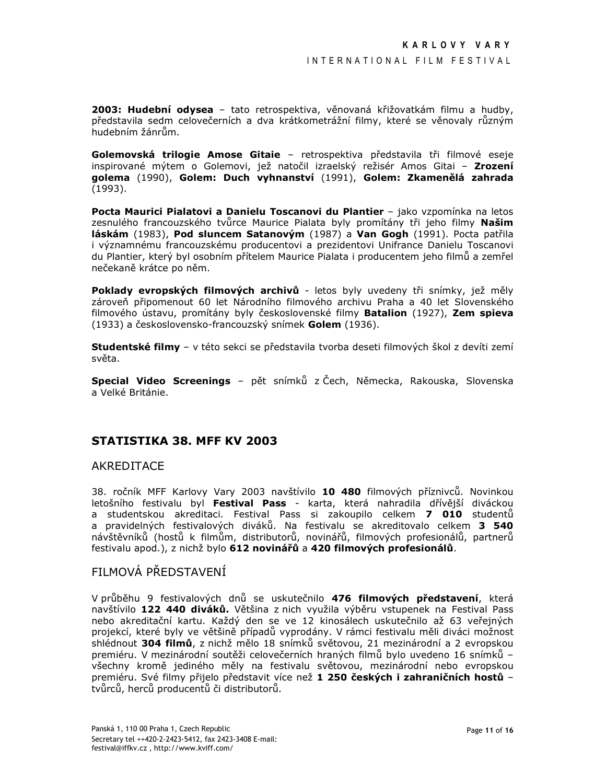2003: Hudební odysea - tato retrospektiva, věnovaná křižovatkám filmu a hudby, představila sedm celovečerních a dva krátkometrážní filmy, které se věnovaly různým hudebním žánrům.

Golemovská trilogie Amose Gitaie - retrospektiva představila tři filmové eseje inspirované mýtem o Golemovi, jež natočil izraelský režisér Amos Gitai - Zrození golema (1990), Golem: Duch vyhnanství (1991), Golem: Zkamenělá zahrada  $(1993).$ 

Pocta Maurici Pialatovi a Danielu Toscanovi du Plantier - jako vzpomínka na letos zesnulého francouzského tvůrce Maurice Pialata byly promítány tři jeho filmy Našim láskám (1983), Pod sluncem Satanovým (1987) a Van Gogh (1991). Pocta patřila i významnému francouzskému producentovi a prezidentovi Unifrance Danielu Toscanovi du Plantier, který byl osobním přítelem Maurice Pialata i producentem jeho filmů a zemřel nečekaně krátce po něm.

Poklady evropských filmových archivů - letos byly uvedeny tři snímky, jež měly zároveň připomenout 60 let Národního filmového archivu Praha a 40 let Slovenského filmového ústavu, promítány byly československé filmy Batalion (1927), Zem spieva (1933) a československo-francouzský snímek Golem (1936).

Studentské filmy - v této sekci se představila tvorba deseti filmových škol z devíti zemí světa.

Special Video Screenings - pět snímků z Čech, Německa, Rakouska, Slovenska a Velké Británie.

### **STATISTIKA 38. MFF KV 2003**

### AKREDITACE

38. ročník MFF Karlovy Vary 2003 navštívilo 10 480 filmových příznivců. Novinkou letošního festivalu byl Festival Pass - karta, která nahradila dřívější diváckou a studentskou akreditaci. Festival Pass si zakoupilo celkem 7 010 studentu a pravidelných festivalových diváků. Na festivalu se akreditovalo celkem 3 540 návštěvníků (hostů k filmům, distributorů, novinářů, filmových profesionálů, partnerů festivalu apod.), z nichž bylo 612 novinářů a 420 filmových profesionálů.

## FILMOVÁ PŘEDSTAVENÍ

V průběhu 9 festivalových dnů se uskutečnilo 476 filmových představení, která navštívilo 122 440 diváků. Většina z nich využila výběru vstupenek na Festival Pass nebo akreditační kartu. Každý den se ve 12 kinosálech uskutečnilo až 63 veřejných projekcí, které byly ve většině případů vyprodány. V rámci festivalu měli diváci možnost shlédnout 304 filmů, z nichž mělo 18 snímků světovou, 21 mezinárodní a 2 evropskou premiéru. V mezinárodní soutěži celovečerních hraných filmů bylo uvedeno 16 snímků všechny kromě jediného měly na festivalu světovou, mezinárodní nebo evropskou premiéru. Své filmy přijelo představit více než 1 250 českých i zahraničních hostů tvůrců, herců producentů či distributorů.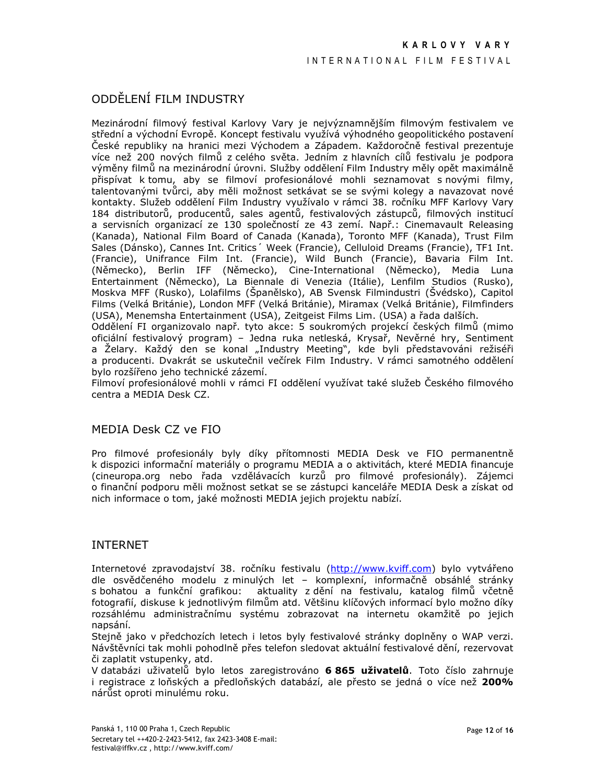## ODDĚLENÍ FILM INDUSTRY

Mezinárodní filmový festival Karlovy Vary je nejvýznamnějším filmovým festivalem ve střední a východní Evropě. Koncept festivalu využívá výhodného geopolitického postavení České republiky na hranici mezi Východem a Západem. Každoročně festival prezentuje více než 200 nových filmů z celého světa. Jedním z hlavních cílů festivalu je podpora výměny filmů na mezinárodní úrovni. Služby oddělení Film Industry měly opět maximálně přispívat k tomu, aby se filmoví profesionálové mohli seznamovat s novými filmy, talentovanými tvůrci, aby měli možnost setkávat se se svými kolegy a navazovat nové kontakty. Služeb oddělení Film Industry využívalo v rámci 38. ročníku MFF Karlovy Vary 184 distributorů, producentů, sales agentů, festivalových zástupců, filmových institucí a servisních organizací ze 130 společností ze 43 zemí. Např.: Cinemavault Releasing (Kanada), National Film Board of Canada (Kanada), Toronto MFF (Kanada), Trust Film Sales (Dánsko), Cannes Int. Critics (Week (Francie), Celluloid Dreams (Francie), TF1 Int. (Francie), Unifrance Film Int. (Francie), Wild Bunch (Francie), Bavaria Film Int. (Německo), Berlin IFF (Německo), Cine-International (Německo), Media Luna Entertainment (Německo), La Biennale di Venezia (Itálie), Lenfilm Studios (Rusko),<br>Moskva MFF (Rusko), Lolafilms (Španělsko), AB Svensk Filmindustri (Švédsko), Capitol Films (Velká Británie), London MFF (Velká Británie), Miramax (Velká Británie), Filmfinders (USA), Menemsha Entertainment (USA), Zeitgeist Films Lim. (USA) a řada dalších.

Oddělení FI organizovalo např. tyto akce: 5 soukromých projekcí českých filmů (mimo oficiální festivalový program) – Jedna ruka netleská, Krysař, Nevěrné hry, Sentiment a Želary. Každý den se konal "Industry Meeting", kde byli představováni režiséři a producenti. Dvakrát se uskutečnil večírek Film Industry. V rámci samotného oddělení bylo rozšířeno jeho technické zázemí.

Filmoví profesionálové mohli v rámci FI oddělení využívat také služeb Českého filmového centra a MEDIA Desk CZ.

## MEDIA Desk CZ ve FIO

Pro filmové profesionály byly díky přítomnosti MEDIA Desk ve FIO permanentně k dispozici informační materiály o programu MEDIA a o aktivitách, které MEDIA financuje (cineuropa.org nebo řada vzdělávacích kurzů pro filmové profesionály). Zájemci o finanční podporu měli možnost setkat se se zástupci kanceláře MEDIA Desk a získat od nich informace o tom, jaké možnosti MEDIA jejich projektu nabízí.

## **INTERNET**

Internetové zpravodajství 38. ročníku festivalu (http://www.kviff.com) bylo vytvářeno dle osvědčeného modelu z minulých let - komplexní, informačně obsáhlé stránky s bohatou a funkční grafikou: aktuality z dění na festivalu, katalog filmů včetně fotografií, diskuse k jednotlivým filmům atd. Většinu klíčových informací bylo možno díky rozsáhlému administračnímu systému zobrazovat na internetu okamžitě po jejich napsání.

Stejně jako v předchozích letech i letos byly festivalové stránky doplněny o WAP verzi. Návštěvníci tak mohli pohodlně přes telefon sledovat aktuální festivalové dění, rezervovat či zaplatit vstupenky, atd.

V databázi uživatelů bylo letos zaregistrováno 6 865 uživatelů. Toto číslo zahrnuje i registrace z loňských a předloňských databází, ale přesto se jedná o více než 200% nárůst oproti minulému roku.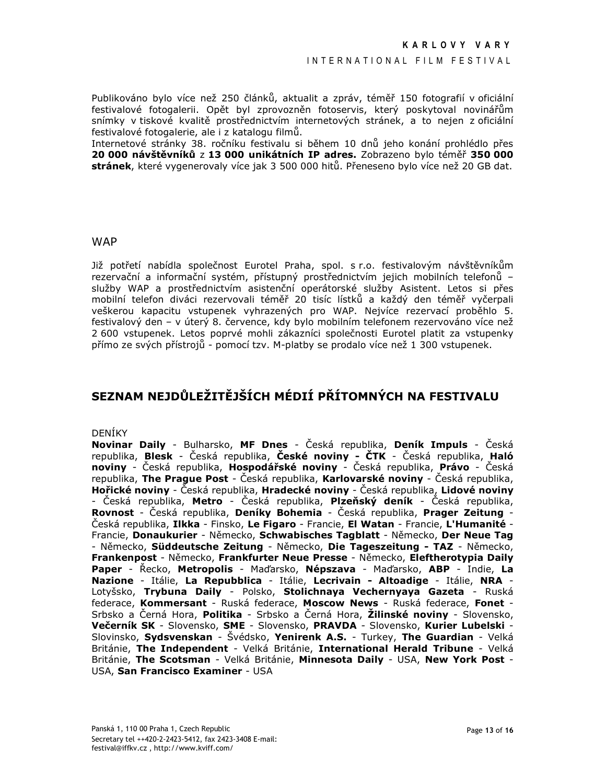Publikováno bylo více než 250 článků, aktualit a zpráv, téměř 150 fotografií v oficiální festivalové fotogalerii. Opět byl zprovozněn fotoservis, který poskytoval novinářům snímky v tiskové kvalitě prostřednictvím internetových stránek, a to nejen z oficiální festivalové fotogalerie, ale i z katalogu filmů.

Internetové stránky 38. ročníku festivalu si během 10 dnů jeho konání prohlédlo přes 20 000 návštěvníků z 13 000 unikátních IP adres. Zobrazeno bylo téměř 350 000 stránek, které vygenerovaly více jak 3 500 000 hitů. Přeneseno bylo více než 20 GB dat.

### **WAP**

Již potřetí nabídla společnost Eurotel Praha, spol. s r.o. festivalovým návštěvníkům rezervační a informační systém, přístupný prostřednictvím jejich mobilních telefonů služby WAP a prostřednictvím asistenční operátorské služby Asistent. Letos si přes mobilní telefon diváci rezervovali téměř 20 tisíc lístků a každý den téměř vyčerpali veškerou kapacitu vstupenek vyhrazených pro WAP. Nejvíce rezervací proběhlo 5. festivalový den - v úterý 8. července, kdy bylo mobilním telefonem rezervováno více než 2 600 vstupenek. Letos poprvé mohli zákazníci společnosti Eurotel platit za vstupenky přímo ze svých přístrojů - pomocí tzv. M-platby se prodalo více než 1 300 vstupenek.

## SEZNAM NEJDŮLEŽITĚJŠÍCH MÉDIÍ PŘÍTOMNÝCH NA FESTIVALU

### **DENÍKY**

Novinar Daily - Bulharsko, MF Dnes - Česká republika, Deník Impuls - Česká republika, Blesk - Česká republika, České noviny - ČTK - Česká republika, Haló noviny - Česká republika, Hospodářské noviny - Česká republika, Právo - Česká republika, **The Prague Post** - Česká republika, **Karlovarské noviny** - Česká republika, Hořické noviny - Česká republika, Hradecké noviny - Česká republika, Lidové noviny - Česká republika, Metro - Česká republika, Plzeňský deník - Česká republika,<br>Rovnost - Česká republika, Deníky Bohemia - Česká republika, Prager Zeitung -Česká republika, Ilkka - Finsko, Le Figaro - Francie, El Watan - Francie, L'Humanité -Francie, Donaukurier - Německo, Schwabisches Tagblatt - Německo, Der Neue Tag - Německo, Süddeutsche Zeitung - Německo, Die Tageszeitung - TAZ - Německo, Frankenpost - Německo, Frankfurter Neue Presse - Německo, Eleftherotypia Daily Paper - Řecko, Metropolis - Maďarsko, Népszava - Maďarsko, ABP - Indie, La Nazione - Itálie, La Repubblica - Itálie, Lecrivain - Altoadige - Itálie, NRA -Lotyšsko, Trybuna Daily - Polsko, Stolichnaya Vechernyaya Gazeta - Ruská federace, Kommersant - Ruská federace, Moscow News - Ruská federace, Fonet -Srbsko a Černá Hora, **Politika** - Srbsko a Černá Hora, **Žilinské noviny** - Slovensko, Večerník SK - Slovensko, SME - Slovensko, PRAVDA - Slovensko, Kurier Lubelski -Slovinsko, Sydsvenskan - Švédsko, Yenirenk A.S. - Turkey, The Guardian - Velká Británie, The Independent - Velká Británie, International Herald Tribune - Velká Británie, The Scotsman - Velká Británie, Minnesota Daily - USA, New York Post -USA, San Francisco Examiner - USA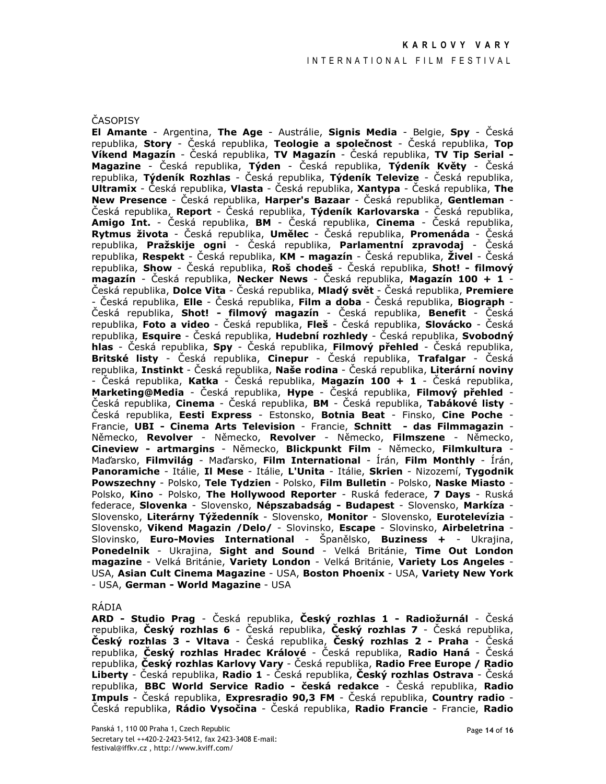### ČASOPISY

El Amante - Argentina, The Age - Austrálie, Signis Media - Belgie, Spy - Česká republika, Story - Česká republika, Teologie a společnost - Česká republika, Top Víkend Magazín - Česká republika, TV Magazín - Česká republika, TV Tip Serial -Magazine - Česká republika, Týden - Česká republika, Týdeník Květy - Česká republika, Týdeník Rozhlas - Česká republika, Týdeník Televize - Česká republika, **Ultramix** - Česká republika, Vlasta - Česká republika, Xantypa - Česká republika, The New Presence - Česká republika, Harper's Bazaar - Česká republika, Gentleman -Česká republika, Report - Česká republika, Týdeník Karlovarska - Česká republika, Amigo Int. - Česká republika, BM - Česká republika, Cinema - Česká republika, Rytmus života - Česká republika, Umělec - Česká republika, Promenáda - Česká republika, **Pražskije ogni** - Česká republika, **Parlamentní zpravodaj** - Česká republika, Respekt - Česká republika, KM - magazín - Česká republika, Živel - Česká republika, Show - Česká republika, Roš chodeš - Česká republika, Shot! - filmový magazín - Česká republika. Necker News - Česká republika. Magazín 100 + 1 -Česká republika, **Dolce Vita** - Česká republika, Mladý svět - Česká republika, Premiere - Česká republika, **Elle** - Česká republika, **Film a doba** - Česká republika, **Biograph** -Česká republika, Shot! - filmový magazín - Česká republika, Benefit - Česká republika, Foto a video - Česká republika, Fleš - Česká republika, Slovácko - Česká republika, Esquire - Česká republika, Hudební rozhledy - Česká republika, Svobodný hlas - Česká republika, Spy - Česká republika, Filmový přehled - Česká republika, Britské listy - Česká republika, Cinepur - Česká republika, Trafalgar - Česká republika, Instinkt - Česká republika, Naše rodina - Česká republika, Literární noviny - Česká republika, Katka - Česká republika, Magazín 100 + 1 - Česká republika, Marketing@Media - Česká republika, Hype - Česká republika, Filmový přehled -Česká republika, Cinema - Česká republika, BM - Česká republika, Tabákové listy -Česká republika, Eesti Express - Estonsko, Botnia Beat - Finsko, Cine Poche -Francie, UBI - Cinema Arts Television - Francie, Schnitt - das Filmmagazin -Německo, Revolver - Německo, Revolver - Německo, Filmszene - Německo, Cineview - artmargins - Německo, Blickpunkt Film - Německo, Filmkultura -Maďarsko, Filmvilág - Maďarsko, Film International - Írán, Film Monthly - Írán, Panoramiche - Itálie, Il Mese - Itálie, L'Unita - Itálie, Skrien - Nizozemí, Tygodnik Powszechny - Polsko, Tele Tydzien - Polsko, Film Bulletin - Polsko, Naske Miasto -Polsko, Kino - Polsko, The Hollywood Reporter - Ruská federace, 7 Days - Ruská federace, Slovenka - Slovensko, Népszabadság - Budapest - Slovensko, Markíza -Slovensko, Literárny Týžedenník - Slovensko, Monitor - Slovensko, Eurotelevízia -Slovensko, Vikend Magazin /Delo/ - Slovinsko, Escape - Slovinsko, Airbeletrina -Slovinsko, Euro-Movies International - Španělsko, Buziness + - Ukrajina, Ponedelnik - Ukrajina, Sight and Sound - Velká Británie, Time Out London magazine - Velká Británie, Variety London - Velká Británie, Variety Los Angeles -USA, Asian Cult Cinema Magazine - USA, Boston Phoenix - USA, Variety New York - USA, German - World Magazine - USA

#### RÁDIA

ARD - Studio Prag - Česká republika, Český rozhlas 1 - Radiožurnál - Česká republika, Český rozhlas 6 - Česká republika, Český rozhlas 7 - Česká republika, Český rozhlas 3 - Vltava - Česká republika, Český rozhlas 2 - Praha - Česká republika, Český rozhlas Hradec Králové - Česká republika, Radio Haná - Česká republika, Český rozhlas Karlovy Vary - Česká republika, Radio Free Europe / Radio Liberty - Česká republika, Radio 1 - Česká republika, Český rozhlas Ostrava - Česká republika, BBC World Service Radio - česká redakce - Česká republika, Radio Impuls - Česká republika, Expresradio 90,3 FM - Česká republika, Country radio -Česká republika, Rádio Vysočina - Česká republika, Radio Francie - Francie, Radio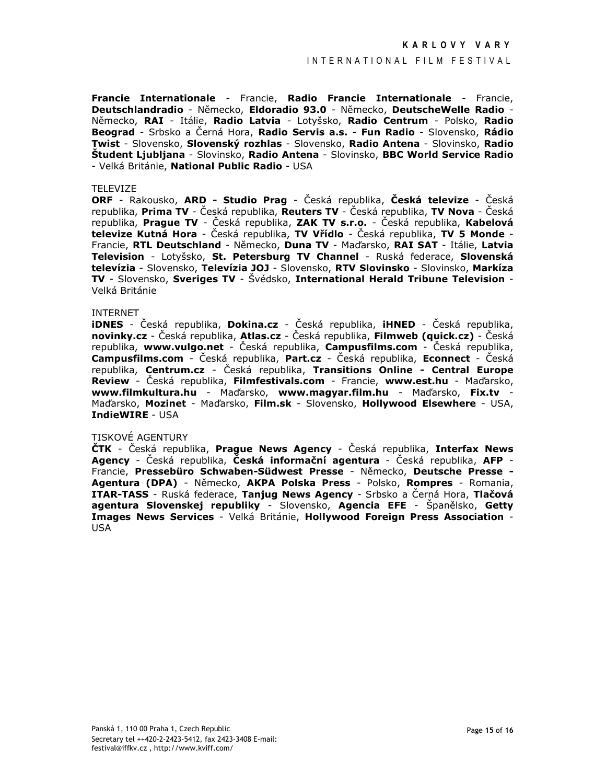### INTERNATIONAL FILM FESTIVAL

Francie Internationale - Francie, Radio Francie Internationale - Francie, Deutschlandradio - Německo, Eldoradio 93.0 - Německo, DeutscheWelle Radio -Německo, RAI - Itálie, Radio Latvia - Lotyšsko, Radio Centrum - Polsko, Radio Beograd - Srbsko a Černá Hora, Radio Servis a.s. - Fun Radio - Slovensko, Rádio Twist - Slovensko, Slovenský rozhlas - Slovensko, Radio Antena - Slovinsko, Radio Študent Ljubljana - Slovinsko, Radio Antena - Slovinsko, BBC World Service Radio - Velká Británie, National Public Radio - USA

#### TFI FVIZF

**ORF** - Rakousko, **ARD - Studio Prag** - Česká republika, Česká televize - Česká republika, Prima TV - Česká republika, Reuters TV - Česká republika, TV Nova - Česká republika, Prague TV - Česká republika, ZAK TV s.r.o. - Česká republika, Kabelová televize Kutná Hora - Česká republika, TV Vřídlo - Česká republika, TV 5 Monde -Francie, RTL Deutschland - Německo, Duna TV - Maďarsko, RAI SAT - Itálie, Latvia<br>Television - Lotyšsko, St. Petersburg TV Channel - Ruská federace, Slovenská televízia - Slovensko, Televízia JOJ - Slovensko, RTV Slovinsko - Slovinsko, Markíza TV - Slovensko, Sveriges TV - Švédsko, International Herald Tribune Television -Velká Británie

#### **INTERNET**

**iDNES** - Česká republika, Dokina.cz - Česká republika, iHNED - Česká republika, novinky.cz - Česká republika, Atlas.cz - Česká republika, Filmweb (quick.cz) - Česká republika, www.vulgo.net - Česká republika, Campusfilms.com - Česká republika, **Campusfilms.com** - Česká republika, Part.cz - Česká republika, Econnect - Česká republika, Centrum.cz - Česká republika, Transitions Online - Central Europe Review - Česká republika, Filmfestivals.com - Francie, www.est.hu - Maďarsko, www.filmkultura.hu - Maďarsko, www.magyar.film.hu - Maďarsko, Fix.tv -Maďarsko, Mozinet - Maďarsko, Film.sk - Slovensko, Hollywood Elsewhere - USA, IndieWIRE - USA

### TISKOVÉ AGENTURY

ČTK - Česká republika, Prague News Agency - Česká republika, Interfax News Agency - Česká republika, Česká informační agentura - Česká republika, AFP -Francie, Pressebüro Schwaben-Südwest Presse - Německo, Deutsche Presse -Agentura (DPA) - Německo, AKPA Polska Press - Polsko, Rompres - Romania, ITAR-TASS - Ruská federace, Tanjug News Agency - Srbsko a Černá Hora, Tlačová agentura Slovenskej republiky - Slovensko, Agencia EFE - Španělsko, Getty Images News Services - Velká Británie, Hollywood Foreign Press Association -**USA**